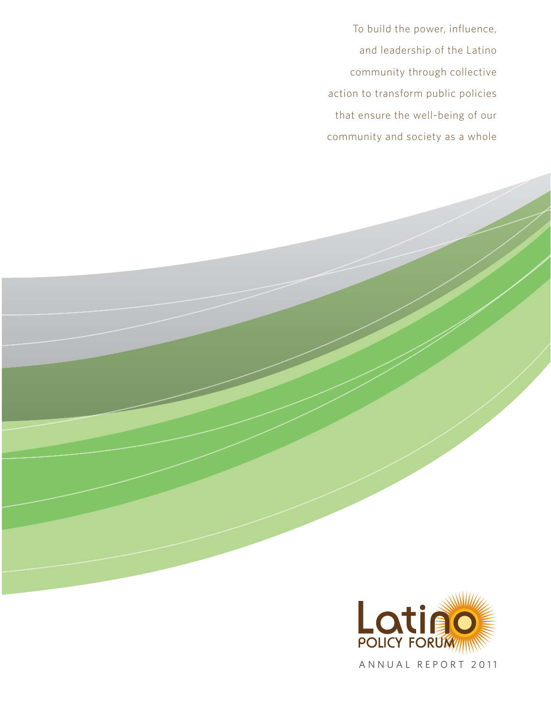To build the power, influence, and leadership of the Latino community through collective action to transform public policies that ensure the well-being of our community and society as a whole



ANNUAL REPORT 2011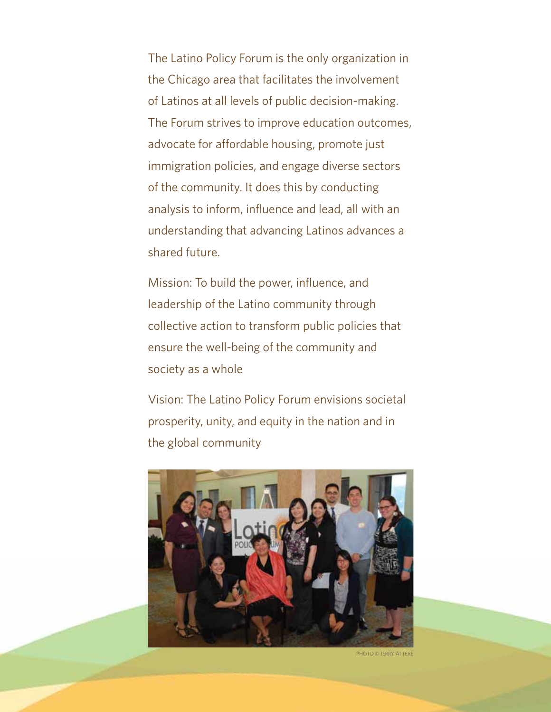The Latino Policy Forum is the only organization in the Chicago area that facilitates the involvement of Latinos at all levels of public decision-making. The Forum strives to improve education outcomes, advocate for affordable housing, promote just immigration policies, and engage diverse sectors of the community. It does this by conducting analysis to inform, influence and lead, all with an understanding that advancing Latinos advances a shared future.

Mission: To build the power, influence, and leadership of the Latino community through collective action to transform public policies that ensure the well-being of the community and society as a whole

Vision: The Latino Policy Forum envisions societal prosperity, unity, and equity in the nation and in the global community



PHOTO © JERRY ATTERE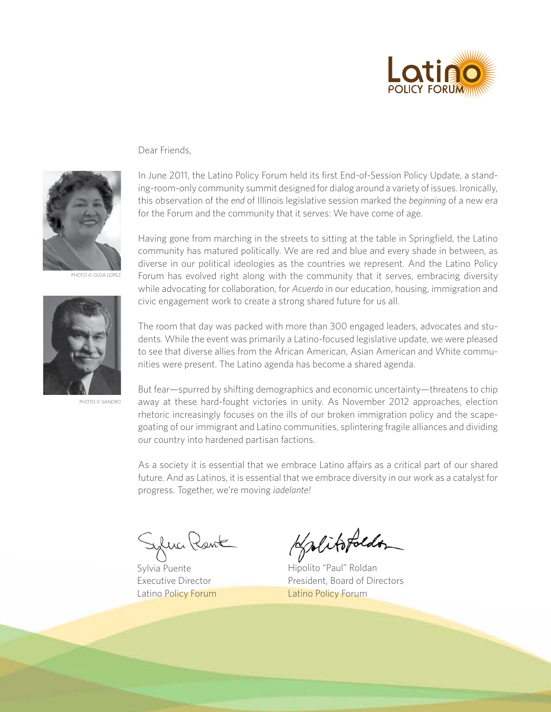

## Dear Friends,



PHOTO © OLGA LOPEZ



Photo © sandro

In June 2011, the Latino Policy Forum held its first End-of-Session Policy Update, a standing-room-only community summit designed for dialog around a variety of issues. Ironically, this observation of the *end* of Illinois legislative session marked the *beginning* of a new era for the Forum and the community that it serves: We have come of age.

Having gone from marching in the streets to sitting at the table in Springfield, the Latino community has matured politically. We are red and blue and every shade in between, as diverse in our political ideologies as the countries we represent. And the Latino Policy Forum has evolved right along with the community that it serves, embracing diversity while advocating for collaboration, for *Acuerdo* in our education, housing, immigration and civic engagement work to create a strong shared future for us all.

The room that day was packed with more than 300 engaged leaders, advocates and students. While the event was primarily a Latino-focused legislative update, we were pleased to see that diverse allies from the African American, Asian American and White communities were present. The Latino agenda has become a shared agenda.

But fear—spurred by shifting demographics and economic uncertainty—threatens to chip away at these hard-fought victories in unity. As November 2012 approaches, election rhetoric increasingly focuses on the ills of our broken immigration policy and the scapegoating of our immigrant and Latino communities, splintering fragile alliances and dividing our country into hardened partisan factions.

As a society it is essential that we embrace Latino affairs as a critical part of our shared future. And as Latinos, it is essential that we embrace diversity in our work as a catalyst for progress. Together, we're moving *¡adelante!*

fuci Kent

Sylvia Puente Executive Director Latino Policy Forum

Holitofolder

Hipolito "Paul" Roldan President, Board of Directors Latino Policy Forum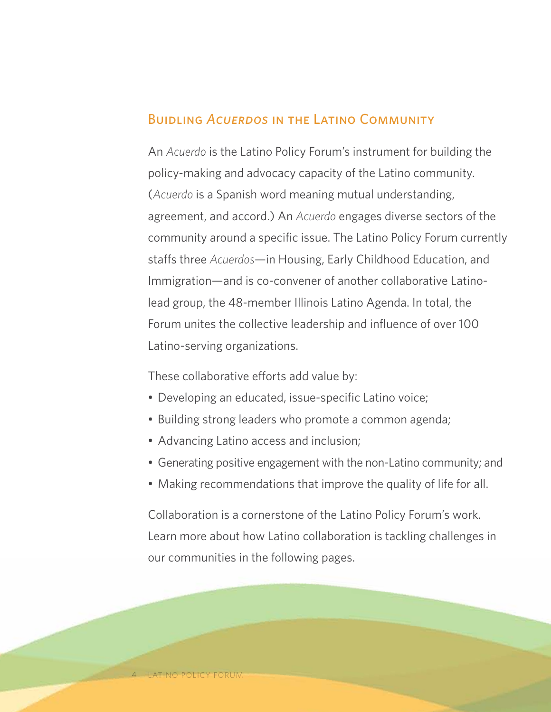# Buidling *Acuerdos* in the Latino Community

An *Acuerdo* is the Latino Policy Forum's instrument for building the policy-making and advocacy capacity of the Latino community. (*Acuerdo* is a Spanish word meaning mutual understanding, agreement, and accord.) An *Acuerdo* engages diverse sectors of the community around a specific issue. The Latino Policy Forum currently staffs three *Acuerdos*—in Housing, Early Childhood Education, and Immigration—and is co-convener of another collaborative Latinolead group, the 48-member Illinois Latino Agenda. In total, the Forum unites the collective leadership and influence of over 100 Latino-serving organizations.

These collaborative efforts add value by:

- Developing an educated, issue-specific Latino voice;
- Building strong leaders who promote a common agenda;
- Advancing Latino access and inclusion;
- Generating positive engagement with the non-Latino community; and
- Making recommendations that improve the quality of life for all.

Collaboration is a cornerstone of the Latino Policy Forum's work. Learn more about how Latino collaboration is tackling challenges in our communities in the following pages.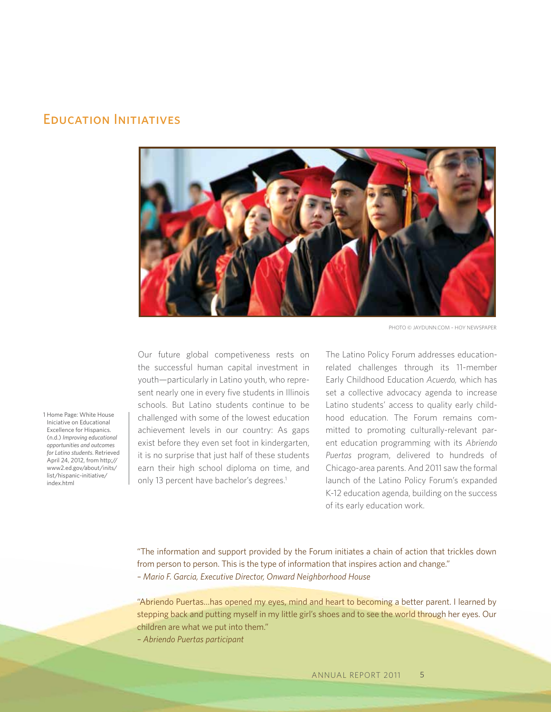# Education Initiatives



Photo © JayDunn.com – Hoy Newspaper

Our future global competiveness rests on the successful human capital investment in youth—particularly in Latino youth, who represent nearly one in every five students in Illinois schools. But Latino students continue to be challenged with some of the lowest education achievement levels in our country: As gaps exist before they even set foot in kindergarten, it is no surprise that just half of these students earn their high school diploma on time, and only 13 percent have bachelor's degrees.<sup>1</sup>

The Latino Policy Forum addresses educationrelated challenges through its 11-member Early Childhood Education *Acuerdo,* which has set a collective advocacy agenda to increase Latino students' access to quality early childhood education. The Forum remains committed to promoting culturally-relevant parent education programming with its *Abriendo Puertas* program, delivered to hundreds of Chicago-area parents. And 2011 saw the formal launch of the Latino Policy Forum's expanded K-12 education agenda, building on the success of its early education work.

"The information and support provided by the Forum initiates a chain of action that trickles down from person to person. This is the type of information that inspires action and change." *– Mario F. Garcia, Executive Director, Onward Neighborhood House*

"Abriendo Puertas…has opened my eyes, mind and heart to becoming a better parent. I learned by stepping back and putting myself in my little girl's shoes and to see the world through her eyes. Our children are what we put into them."

*– Abriendo Puertas participant*

1 Home Page: White House Iniciative on Educational Excellence for Hispanics. (n.d.) *Improving educational opportunities and outcomes for Latino students*. Retrieved April 24, 2012, from http;// www2.ed.gov/about/inits/ list/hispanic-initiative/ index.html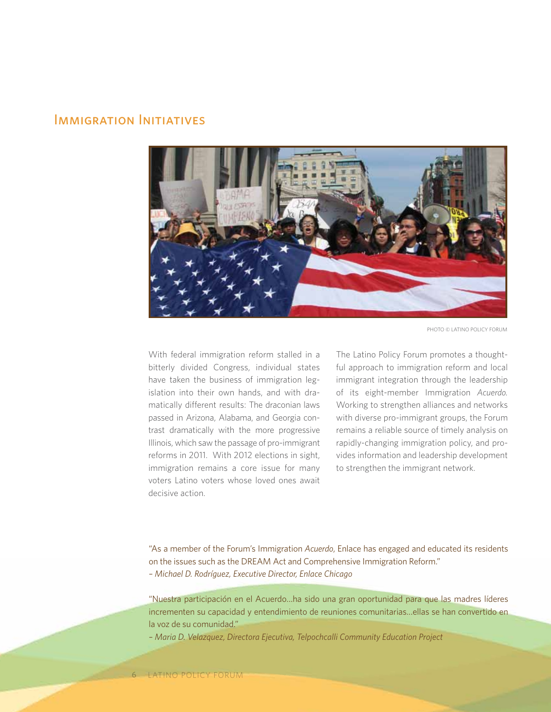# Immigration Initiatives



Photo © Latino Policy Forum

With federal immigration reform stalled in a bitterly divided Congress, individual states have taken the business of immigration legislation into their own hands, and with dramatically different results: The draconian laws passed in Arizona, Alabama, and Georgia contrast dramatically with the more progressive Illinois, which saw the passage of pro-immigrant reforms in 2011. With 2012 elections in sight, immigration remains a core issue for many voters Latino voters whose loved ones await decisive action.

The Latino Policy Forum promotes a thoughtful approach to immigration reform and local immigrant integration through the leadership of its eight-member Immigration *Acuerdo.*  Working to strengthen alliances and networks with diverse pro-immigrant groups, the Forum remains a reliable source of timely analysis on rapidly-changing immigration policy, and provides information and leadership development to strengthen the immigrant network.

"As a member of the Forum's Immigration *Acuerdo*, Enlace has engaged and educated its residents on the issues such as the DREAM Act and Comprehensive Immigration Reform." *– Michael D. Rodríguez, Executive Director, Enlace Chicago* 

"Nuestra participación en el Acuerdo…ha sido una gran oportunidad para que las madres líderes incrementen su capacidad y entendimiento de reuniones comunitarias…ellas se han convertido en la voz de su comunidad."

*– Maria D. Velazquez, Directora Ejecutiva, Telpochcalli Community Education Project*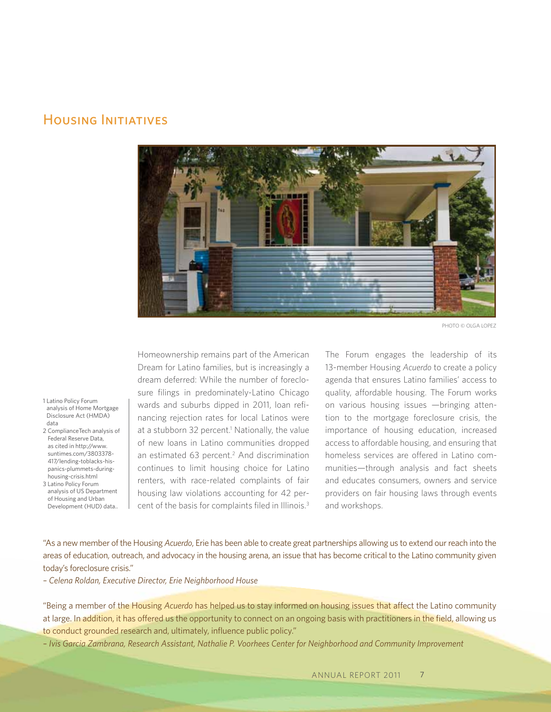# HOUSING INITIATIVES



PHOTO © OLGA LOPEZ

- 1 Latino Policy Forum analysis of Home Mortgage Disclosure Act (HMDA) data
- 2 ComplianceTech analysis of Federal Reserve Data, as cited in http://www. suntimes.com/3803378- 417/lending-toblacks-hispanics-plummets-duringhousing-crisis.html
- 3 Latino Policy Forum analysis of US Department of Housing and Urban Development (HUD) data..

Homeownership remains part of the American Dream for Latino families, but is increasingly a dream deferred: While the number of foreclosure filings in predominately-Latino Chicago wards and suburbs dipped in 2011, loan refinancing rejection rates for local Latinos were at a stubborn 32 percent.<sup>1</sup> Nationally, the value of new loans in Latino communities dropped an estimated 63 percent.<sup>2</sup> And discrimination continues to limit housing choice for Latino renters, with race-related complaints of fair housing law violations accounting for 42 percent of the basis for complaints filed in Illinois.3

The Forum engages the leadership of its 13-member Housing *Acuerdo* to create a policy agenda that ensures Latino families' access to quality, affordable housing. The Forum works on various housing issues —bringing attention to the mortgage foreclosure crisis, the importance of housing education, increased access to affordable housing, and ensuring that homeless services are offered in Latino communities—through analysis and fact sheets and educates consumers, owners and service providers on fair housing laws through events and workshops.

"As a new member of the Housing *Acuerdo*, Erie has been able to create great partnerships allowing us to extend our reach into the areas of education, outreach, and advocacy in the housing arena, an issue that has become critical to the Latino community given today's foreclosure crisis."

*– Celena Roldan, Executive Director, Erie Neighborhood House* 

"Being a member of the Housing *Acuerdo* has helped us to stay informed on housing issues that affect the Latino community at large. In addition, it has offered us the opportunity to connect on an ongoing basis with practitioners in the field, allowing us to conduct grounded research and, ultimately, influence public policy."

*– Ivis Garcia Zambrana, Research Assistant, Nathalie P. Voorhees Center for Neighborhood and Community Improvement*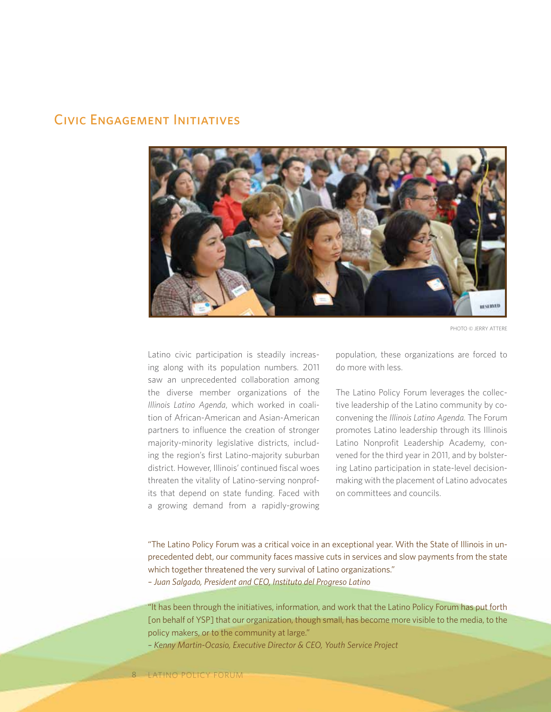## Civic Engagement Initiatives



Photo © Jerry Attere

Latino civic participation is steadily increasing along with its population numbers. 2011 saw an unprecedented collaboration among the diverse member organizations of the *Illinois Latino Agenda*, which worked in coalition of African-American and Asian-American partners to influence the creation of stronger majority-minority legislative districts, including the region's first Latino-majority suburban district. However, Illinois' continued fiscal woes threaten the vitality of Latino-serving nonprofits that depend on state funding. Faced with a growing demand from a rapidly-growing population, these organizations are forced to do more with less.

The Latino Policy Forum leverages the collective leadership of the Latino community by coconvening the *Illinois Latino Agenda.* The Forum promotes Latino leadership through its Illinois Latino Nonprofit Leadership Academy, convened for the third year in 2011, and by bolstering Latino participation in state-level decisionmaking with the placement of Latino advocates on committees and councils.

"The Latino Policy Forum was a critical voice in an exceptional year. With the State of Illinois in unprecedented debt, our community faces massive cuts in services and slow payments from the state which together threatened the very survival of Latino organizations."

*– Juan Salgado, President and CEO, Instituto del Progreso Latino* 

"It has been through the initiatives, information, and work that the Latino Policy Forum has put forth [on behalf of YSP] that our organization, though small, has become more visible to the media, to the policy makers, or to the community at large."

*– Kenny Martin-Ocasio, Executive Director & CEO, Youth Service Project*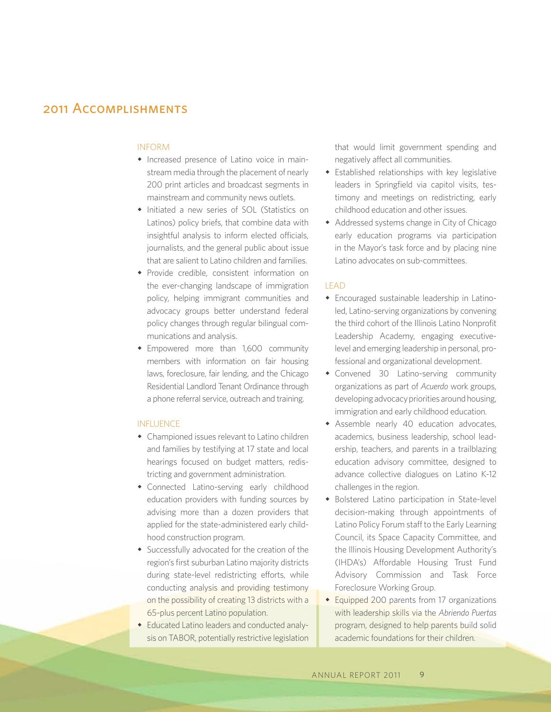# 2011 Accomplishments

#### INFORM

- Increased presence of Latino voice in mainstream media through the placement of nearly 200 print articles and broadcast segments in mainstream and community news outlets.
- Initiated a new series of SOL (Statistics on Latinos) policy briefs, that combine data with insightful analysis to inform elected officials, journalists, and the general public about issue that are salient to Latino children and families.
- Provide credible, consistent information on the ever-changing landscape of immigration policy, helping immigrant communities and advocacy groups better understand federal policy changes through regular bilingual communications and analysis.
- Empowered more than 1,600 community members with information on fair housing laws, foreclosure, fair lending, and the Chicago Residential Landlord Tenant Ordinance through a phone referral service, outreach and training.

#### INFLUENCE

- $\bullet$  Championed issues relevant to Latino children and families by testifying at 17 state and local hearings focused on budget matters, redistricting and government administration.
- Connected Latino-serving early childhood education providers with funding sources by advising more than a dozen providers that applied for the state-administered early childhood construction program.
- Successfully advocated for the creation of the region's first suburban Latino majority districts during state-level redistricting efforts, while conducting analysis and providing testimony on the possibility of creating 13 districts with a 65-plus percent Latino population.
- Educated Latino leaders and conducted analysis on TABOR, potentially restrictive legislation

that would limit government spending and negatively affect all communities.

- $\bullet$  Established relationships with key legislative leaders in Springfield via capitol visits, testimony and meetings on redistricting, early childhood education and other issues.
- Addressed systems change in City of Chicago early education programs via participation in the Mayor's task force and by placing nine Latino advocates on sub-committees.

### LEAD

- Encouraged sustainable leadership in Latinoled, Latino-serving organizations by convening the third cohort of the Illinois Latino Nonprofit Leadership Academy, engaging executivelevel and emerging leadership in personal, professional and organizational development.
- Convened 30 Latino-serving community organizations as part of *Acuerdo* work groups, developing advocacy priorities around housing, immigration and early childhood education.
- Assemble nearly 40 education advocates, academics, business leadership, school leadership, teachers, and parents in a trailblazing education advisory committee, designed to advance collective dialogues on Latino K-12 challenges in the region.
- **\*** Bolstered Latino participation in State-level decision-making through appointments of Latino Policy Forum staff to the Early Learning Council, its Space Capacity Committee, and the Illinois Housing Development Authority's (IHDA's) Affordable Housing Trust Fund Advisory Commission and Task Force Foreclosure Working Group.
- $\bullet$  Equipped 200 parents from 17 organizations with leadership skills via the *Abriendo Puertas* program, designed to help parents build solid academic foundations for their children.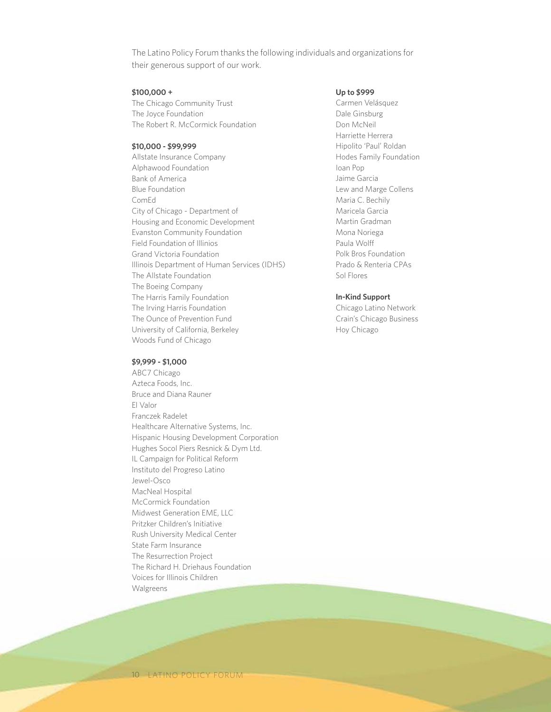The Latino Policy Forum thanks the following individuals and organizations for their generous support of our work.

#### **\$100,000 +**

The Chicago Community Trust The Joyce Foundation The Robert R. McCormick Foundation

### **\$10,000 - \$99,999**

Allstate Insurance Company Alphawood Foundation Bank of America Blue Foundation ComEd City of Chicago - Department of Housing and Economic Development Evanston Community Foundation Field Foundation of Illinios Grand Victoria Foundation Illinois Department of Human Services (IDHS) The Allstate Foundation The Boeing Company The Harris Family Foundation The Irving Harris Foundation The Ounce of Prevention Fund University of California, Berkeley Woods Fund of Chicago

#### **\$9,999 - \$1,000**

ABC7 Chicago Azteca Foods, Inc. Bruce and Diana Rauner El Valor Franczek Radelet Healthcare Alternative Systems, Inc. Hispanic Housing Development Corporation Hughes Socol Piers Resnick & Dym Ltd. IL Campaign for Political Reform Instituto del Progreso Latino Jewel-Osco MacNeal Hospital McCormick Foundation Midwest Generation EME, LLC Pritzker Children's Initiative Rush University Medical Center State Farm Insurance The Resurrection Project The Richard H. Driehaus Foundation Voices for Illinois Children Walgreens

#### **Up to \$999**

Carmen Velásquez Dale Ginsburg Don McNeil Harriette Herrera Hipolito 'Paul' Roldan Hodes Family Foundation Ioan Pop Jaime Garcia Lew and Marge Collens Maria C. Bechily Maricela Garcia Martin Gradman Mona Noriega Paula Wolff Polk Bros Foundation Prado & Renteria CPAs Sol Flores

#### **In-Kind Support**

Chicago Latino Network Crain's Chicago Business Hoy Chicago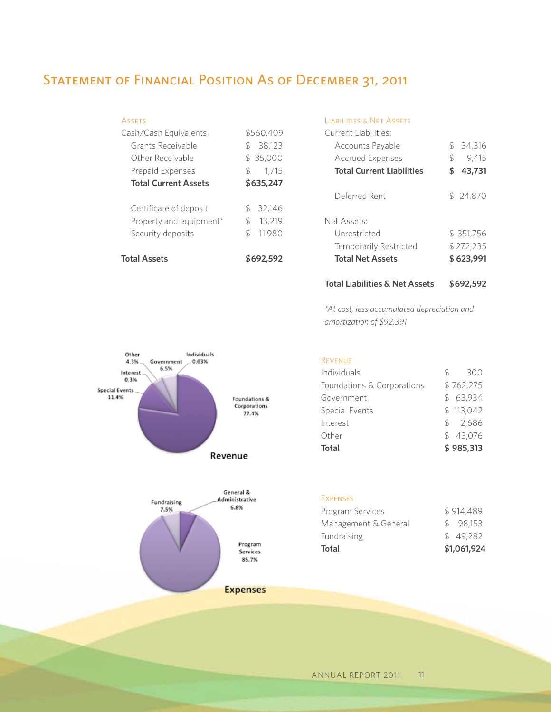# STATEMENT OF FINANCIAL POSITION AS OF DECEMBER 31, 2011

| <b>ASSETS</b>               |               |           |
|-----------------------------|---------------|-----------|
| Cash/Cash Equivalents       |               | \$560.409 |
| Grants Receivable           |               | \$38,123  |
| Other Receivable            |               | \$35,000  |
| <b>Prepaid Expenses</b>     | $\mathcal{S}$ | 1.715     |
| <b>Total Current Assets</b> | \$635,247     |           |
| Certificate of deposit      | \$            | 32,146    |
| Property and equipment*     | \$            | 13,219    |
| Security deposits           | \$            | 11.980    |
| <b>Total Assets</b>         |               | \$692.592 |

## Liabilities & Net Assets

| Current Liabilities:             |           |           |
|----------------------------------|-----------|-----------|
| Accounts Payable                 |           | \$34,316  |
| <b>Accrued Expenses</b>          | \$        | 9,415     |
| <b>Total Current Liabilities</b> | \$        | 43,731    |
| Deferred Rent                    |           | \$24,870  |
| Net Assets:                      |           |           |
| Unrestricted                     |           | \$351,756 |
| Temporarily Restricted           | \$272,235 |           |
| <b>Total Net Assets</b>          |           | \$623,991 |
|                                  |           |           |

## **Total Liabilities & Net Assets \$692,592**

*\*At cost, less accumulated depreciation and amortization of \$92,391*



#### Revenue

Expenses

| Individuals                | SS. | 300       |
|----------------------------|-----|-----------|
| Foundations & Corporations |     | \$762,275 |
| Government                 |     | \$63,934  |
| Special Events             |     | \$113,042 |
| Interest                   |     | \$2,686   |
| Other                      |     | \$43,076  |
| Total                      |     | \$985,313 |

Program Services \$914,489 Management & General \$ 98,153 Fundraising  $$ 49,282$ **Total \$1,061,924**

| <b>Expenses</b> |
|-----------------|

Services 85.7%

#### annual report 2011 11